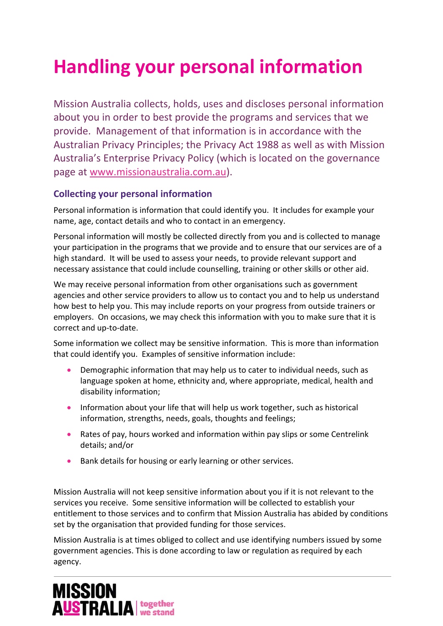# **Handling your personal information**

Mission Australia collects, holds, uses and discloses personal information about you in order to best provide the programs and services that we provide. Management of that information is in accordance with the Australian Privacy Principles; the Privacy Act 1988 as well as with Mission Australia's Enterprise Privacy Policy (which is located on the governance page at www.missionaustralia.com.au).

# **Collecting your personal information**

Personal information is information that could identify you. It includes for example your name, age, contact details and who to contact in an emergency.

Personal information will mostly be collected directly from you and is collected to manage your participation in the programs that we provide and to ensure that our services are of a high standard. It will be used to assess your needs, to provide relevant support and necessary assistance that could include counselling, training or other skills or other aid.

We may receive personal information from other organisations such as government agencies and other service providers to allow us to contact you and to help us understand how best to help you. This may include reports on your progress from outside trainers or employers. On occasions, we may check this information with you to make sure that it is correct and up‐to‐date.

Some information we collect may be sensitive information. This is more than information that could identify you. Examples of sensitive information include:

- Demographic information that may help us to cater to individual needs, such as language spoken at home, ethnicity and, where appropriate, medical, health and disability information;
- Information about your life that will help us work together, such as historical information, strengths, needs, goals, thoughts and feelings;
- Rates of pay, hours worked and information within pay slips or some Centrelink details; and/or
- Bank details for housing or early learning or other services.

Mission Australia will not keep sensitive information about you if it is not relevant to the services you receive. Some sensitive information will be collected to establish your entitlement to those services and to confirm that Mission Australia has abided by conditions set by the organisation that provided funding for those services.

Mission Australia is at times obliged to collect and use identifying numbers issued by some government agencies. This is done according to law or regulation as required by each agency.

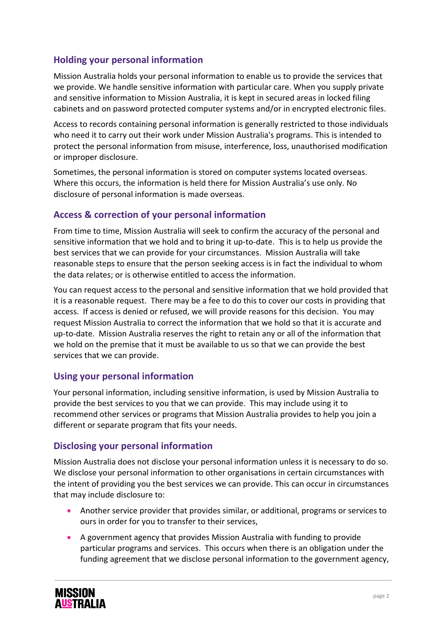# **Holding your personal information**

Mission Australia holds your personal information to enable us to provide the services that we provide. We handle sensitive information with particular care. When you supply private and sensitive information to Mission Australia, it is kept in secured areas in locked filing cabinets and on password protected computer systems and/or in encrypted electronic files.

Access to records containing personal information is generally restricted to those individuals who need it to carry out their work under Mission Australia's programs. This is intended to protect the personal information from misuse, interference, loss, unauthorised modification or improper disclosure.

Sometimes, the personal information is stored on computer systems located overseas. Where this occurs, the information is held there for Mission Australia's use only. No disclosure of personal information is made overseas.

## **Access & correction of your personal information**

From time to time, Mission Australia will seek to confirm the accuracy of the personal and sensitive information that we hold and to bring it up-to-date. This is to help us provide the best services that we can provide for your circumstances. Mission Australia will take reasonable steps to ensure that the person seeking access is in fact the individual to whom the data relates; or is otherwise entitled to access the information.

You can request access to the personal and sensitive information that we hold provided that it is a reasonable request. There may be a fee to do this to cover our costs in providing that access. If access is denied or refused, we will provide reasons for this decision. You may request Mission Australia to correct the information that we hold so that it is accurate and up‐to‐date. Mission Australia reserves the right to retain any or all of the information that we hold on the premise that it must be available to us so that we can provide the best services that we can provide.

#### **Using your personal information**

Your personal information, including sensitive information, is used by Mission Australia to provide the best services to you that we can provide. This may include using it to recommend other services or programs that Mission Australia provides to help you join a different or separate program that fits your needs.

#### **Disclosing your personal information**

Mission Australia does not disclose your personal information unless it is necessary to do so. We disclose your personal information to other organisations in certain circumstances with the intent of providing you the best services we can provide. This can occur in circumstances that may include disclosure to:

- Another service provider that provides similar, or additional, programs or services to ours in order for you to transfer to their services,
- A government agency that provides Mission Australia with funding to provide particular programs and services. This occurs when there is an obligation under the funding agreement that we disclose personal information to the government agency,